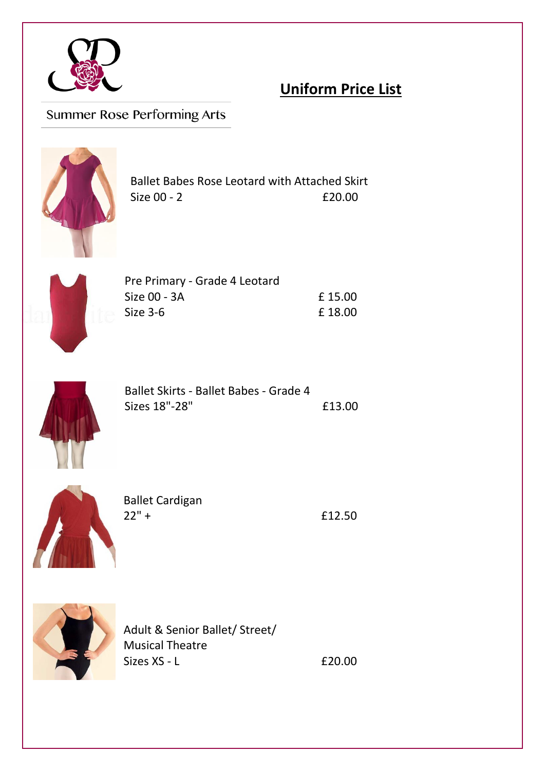

# **Uniform Price List**

# Summer Rose Performing Arts



Ballet Babes Rose Leotard with Attached Skirt Size 00 - 2 **£20.00** 



| Pre Primary - Grade 4 Leotard |        |
|-------------------------------|--------|
| Size 00 - 3A                  | £15.00 |
| Size 3-6                      | £18.00 |



| Ballet Skirts - Ballet Babes - Grade 4 |        |
|----------------------------------------|--------|
| Sizes 18"-28"                          | £13.00 |



| <b>Ballet Cardigan</b> |  |
|------------------------|--|
| $22" +$                |  |

£12.50



Adult & Senior Ballet/ Street/ Musical Theatre  $Sizes XS - L$   $E20.00$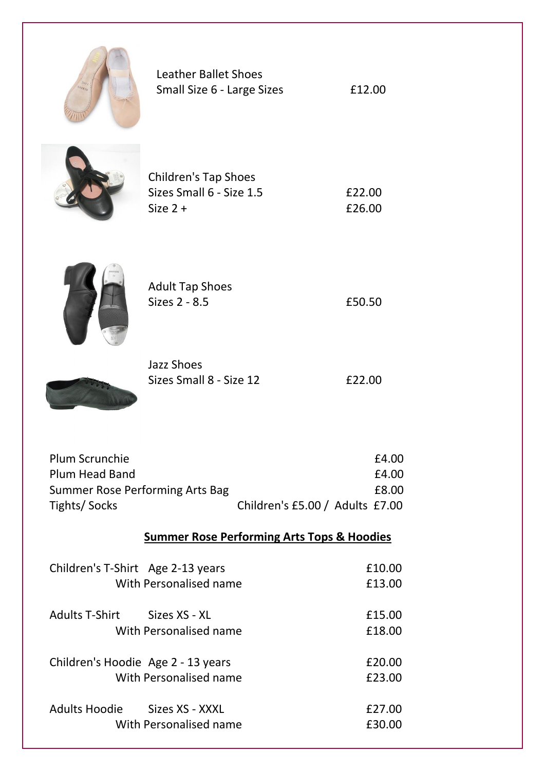

| <b>Leather Ballet Shoes</b> |        |
|-----------------------------|--------|
| Small Size 6 - Large Sizes  | £12.00 |



| <b>Children's Tap Shoes</b> |        |
|-----------------------------|--------|
| Sizes Small 6 - Size 1.5    | £22.00 |
| Size $2 +$                  | £26.00 |



| <b>Adult Tap Shoes</b> |  |
|------------------------|--|
| Sizes 2 - 8.5          |  |

 $£50.50$ 



| Jazz Shoes              |        |
|-------------------------|--------|
| Sizes Small 8 - Size 12 | £22.00 |

| Plum Scrunchie                  |                                 | £4.00 |
|---------------------------------|---------------------------------|-------|
| Plum Head Band                  |                                 | £4.00 |
| Summer Rose Performing Arts Bag |                                 | £8.00 |
| Tights/Socks                    | Children's £5.00 / Adults £7.00 |       |

## **Summer Rose Performing Arts Tops & Hoodies**

| Children's T-Shirt Age 2-13 years       | £10.00 |
|-----------------------------------------|--------|
| With Personalised name                  | £13.00 |
| <b>Adults T-Shirt</b><br>Sizes XS - XL  | £15.00 |
| With Personalised name                  | £18.00 |
| Children's Hoodie Age 2 - 13 years      | £20.00 |
| With Personalised name                  | £23.00 |
| <b>Adults Hoodie</b><br>Sizes XS - XXXL | £27.00 |
| With Personalised name                  | £30.00 |